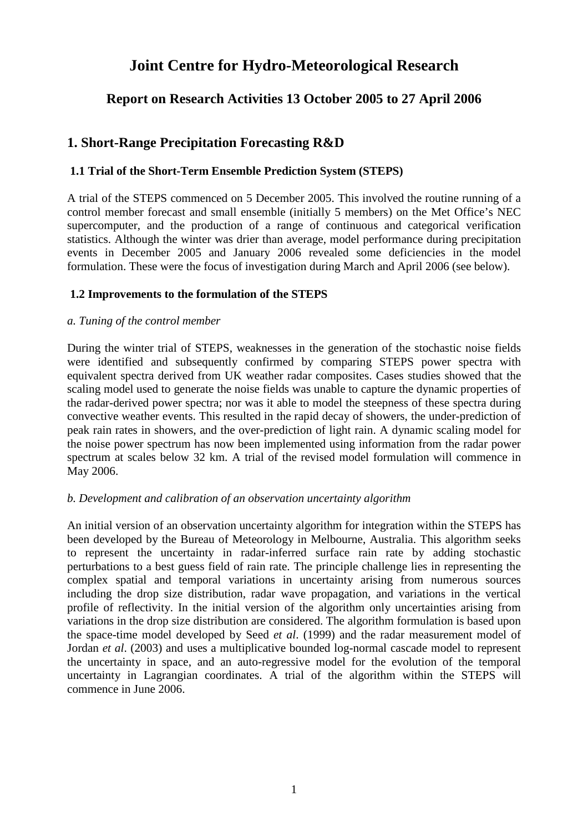# **Joint Centre for Hydro-Meteorological Research**

## **Report on Research Activities 13 October 2005 to 27 April 2006**

## **1. Short-Range Precipitation Forecasting R&D**

#### **1.1 Trial of the Short-Term Ensemble Prediction System (STEPS)**

A trial of the STEPS commenced on 5 December 2005. This involved the routine running of a control member forecast and small ensemble (initially 5 members) on the Met Office's NEC supercomputer, and the production of a range of continuous and categorical verification statistics. Although the winter was drier than average, model performance during precipitation events in December 2005 and January 2006 revealed some deficiencies in the model formulation. These were the focus of investigation during March and April 2006 (see below).

#### **1.2 Improvements to the formulation of the STEPS**

#### *a. Tuning of the control member*

During the winter trial of STEPS, weaknesses in the generation of the stochastic noise fields were identified and subsequently confirmed by comparing STEPS power spectra with equivalent spectra derived from UK weather radar composites. Cases studies showed that the scaling model used to generate the noise fields was unable to capture the dynamic properties of the radar-derived power spectra; nor was it able to model the steepness of these spectra during convective weather events. This resulted in the rapid decay of showers, the under-prediction of peak rain rates in showers, and the over-prediction of light rain. A dynamic scaling model for the noise power spectrum has now been implemented using information from the radar power spectrum at scales below 32 km. A trial of the revised model formulation will commence in May 2006.

#### *b. Development and calibration of an observation uncertainty algorithm*

An initial version of an observation uncertainty algorithm for integration within the STEPS has been developed by the Bureau of Meteorology in Melbourne, Australia. This algorithm seeks to represent the uncertainty in radar-inferred surface rain rate by adding stochastic perturbations to a best guess field of rain rate. The principle challenge lies in representing the complex spatial and temporal variations in uncertainty arising from numerous sources including the drop size distribution, radar wave propagation, and variations in the vertical profile of reflectivity. In the initial version of the algorithm only uncertainties arising from variations in the drop size distribution are considered. The algorithm formulation is based upon the space-time model developed by Seed *et al*. (1999) and the radar measurement model of Jordan *et al*. (2003) and uses a multiplicative bounded log-normal cascade model to represent the uncertainty in space, and an auto-regressive model for the evolution of the temporal uncertainty in Lagrangian coordinates. A trial of the algorithm within the STEPS will commence in June 2006.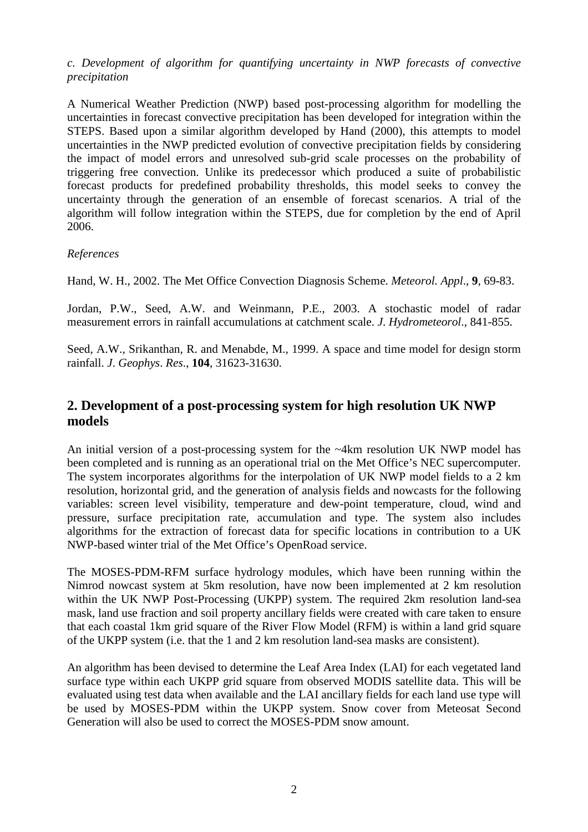### *c. Development of algorithm for quantifying uncertainty in NWP forecasts of convective precipitation*

A Numerical Weather Prediction (NWP) based post-processing algorithm for modelling the uncertainties in forecast convective precipitation has been developed for integration within the STEPS. Based upon a similar algorithm developed by Hand (2000), this attempts to model uncertainties in the NWP predicted evolution of convective precipitation fields by considering the impact of model errors and unresolved sub-grid scale processes on the probability of triggering free convection. Unlike its predecessor which produced a suite of probabilistic forecast products for predefined probability thresholds, this model seeks to convey the uncertainty through the generation of an ensemble of forecast scenarios. A trial of the algorithm will follow integration within the STEPS, due for completion by the end of April 2006.

### *References*

Hand, W. H., 2002. The Met Office Convection Diagnosis Scheme. *Meteorol. Appl*., **9**, 69-83.

Jordan, P.W., Seed, A.W. and Weinmann, P.E., 2003. A stochastic model of radar measurement errors in rainfall accumulations at catchment scale. *J*. *Hydrometeorol*., 841-855.

Seed, A.W., Srikanthan, R. and Menabde, M., 1999. A space and time model for design storm rainfall. *J*. *Geophys*. *Res*., **104**, 31623-31630.

## **2. Development of a post-processing system for high resolution UK NWP models**

An initial version of a post-processing system for the ~4km resolution UK NWP model has been completed and is running as an operational trial on the Met Office's NEC supercomputer. The system incorporates algorithms for the interpolation of UK NWP model fields to a 2 km resolution, horizontal grid, and the generation of analysis fields and nowcasts for the following variables: screen level visibility, temperature and dew-point temperature, cloud, wind and pressure, surface precipitation rate, accumulation and type. The system also includes algorithms for the extraction of forecast data for specific locations in contribution to a UK NWP-based winter trial of the Met Office's OpenRoad service.

The MOSES-PDM-RFM surface hydrology modules, which have been running within the Nimrod nowcast system at 5km resolution, have now been implemented at 2 km resolution within the UK NWP Post-Processing (UKPP) system. The required 2km resolution land-sea mask, land use fraction and soil property ancillary fields were created with care taken to ensure that each coastal 1km grid square of the River Flow Model (RFM) is within a land grid square of the UKPP system (i.e. that the 1 and 2 km resolution land-sea masks are consistent).

An algorithm has been devised to determine the Leaf Area Index (LAI) for each vegetated land surface type within each UKPP grid square from observed MODIS satellite data. This will be evaluated using test data when available and the LAI ancillary fields for each land use type will be used by MOSES-PDM within the UKPP system. Snow cover from Meteosat Second Generation will also be used to correct the MOSES-PDM snow amount.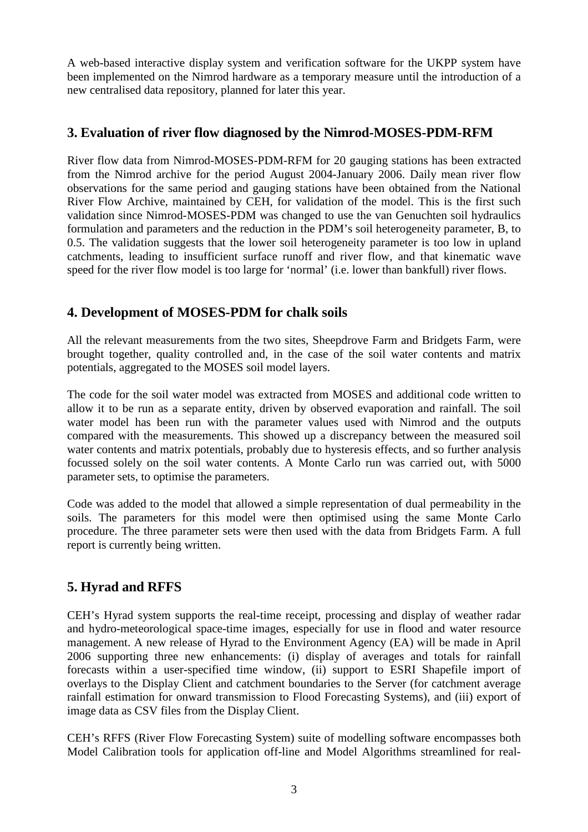A web-based interactive display system and verification software for the UKPP system have been implemented on the Nimrod hardware as a temporary measure until the introduction of a new centralised data repository, planned for later this year.

## **3. Evaluation of river flow diagnosed by the Nimrod-MOSES-PDM-RFM**

River flow data from Nimrod-MOSES-PDM-RFM for 20 gauging stations has been extracted from the Nimrod archive for the period August 2004-January 2006. Daily mean river flow observations for the same period and gauging stations have been obtained from the National River Flow Archive, maintained by CEH, for validation of the model. This is the first such validation since Nimrod-MOSES-PDM was changed to use the van Genuchten soil hydraulics formulation and parameters and the reduction in the PDM's soil heterogeneity parameter, B, to 0.5. The validation suggests that the lower soil heterogeneity parameter is too low in upland catchments, leading to insufficient surface runoff and river flow, and that kinematic wave speed for the river flow model is too large for 'normal' (i.e. lower than bankfull) river flows.

## **4. Development of MOSES-PDM for chalk soils**

All the relevant measurements from the two sites, Sheepdrove Farm and Bridgets Farm, were brought together, quality controlled and, in the case of the soil water contents and matrix potentials, aggregated to the MOSES soil model layers.

The code for the soil water model was extracted from MOSES and additional code written to allow it to be run as a separate entity, driven by observed evaporation and rainfall. The soil water model has been run with the parameter values used with Nimrod and the outputs compared with the measurements. This showed up a discrepancy between the measured soil water contents and matrix potentials, probably due to hysteresis effects, and so further analysis focussed solely on the soil water contents. A Monte Carlo run was carried out, with 5000 parameter sets, to optimise the parameters.

Code was added to the model that allowed a simple representation of dual permeability in the soils. The parameters for this model were then optimised using the same Monte Carlo procedure. The three parameter sets were then used with the data from Bridgets Farm. A full report is currently being written.

## **5. Hyrad and RFFS**

CEH's Hyrad system supports the real-time receipt, processing and display of weather radar and hydro-meteorological space-time images, especially for use in flood and water resource management. A new release of Hyrad to the Environment Agency (EA) will be made in April 2006 supporting three new enhancements: (i) display of averages and totals for rainfall forecasts within a user-specified time window, (ii) support to ESRI Shapefile import of overlays to the Display Client and catchment boundaries to the Server (for catchment average rainfall estimation for onward transmission to Flood Forecasting Systems), and (iii) export of image data as CSV files from the Display Client.

CEH's RFFS (River Flow Forecasting System) suite of modelling software encompasses both Model Calibration tools for application off-line and Model Algorithms streamlined for real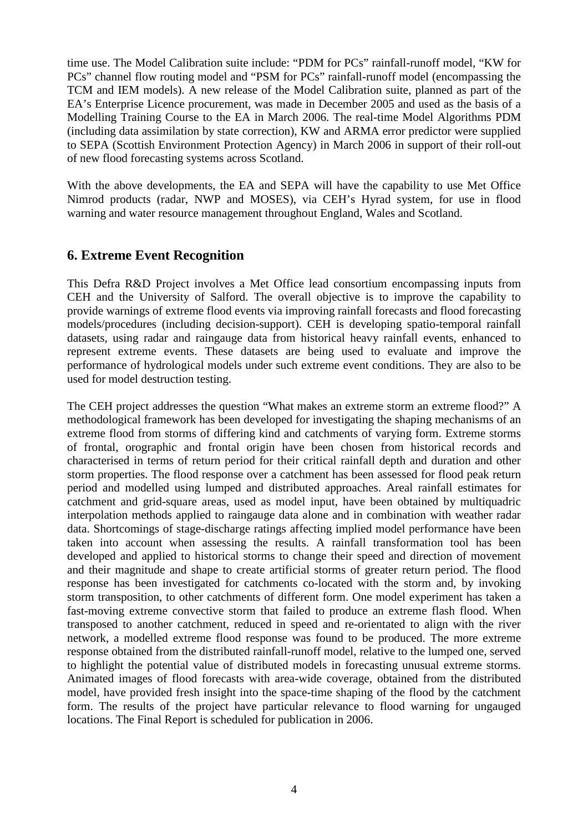time use. The Model Calibration suite include: "PDM for PCs" rainfall-runoff model, "KW for PCs" channel flow routing model and "PSM for PCs" rainfall-runoff model (encompassing the TCM and IEM models). A new release of the Model Calibration suite, planned as part of the EA's Enterprise Licence procurement, was made in December 2005 and used as the basis of a Modelling Training Course to the EA in March 2006. The real-time Model Algorithms PDM (including data assimilation by state correction), KW and ARMA error predictor were supplied to SEPA (Scottish Environment Protection Agency) in March 2006 in support of their roll-out of new flood forecasting systems across Scotland.

With the above developments, the EA and SEPA will have the capability to use Met Office Nimrod products (radar, NWP and MOSES), via CEH's Hyrad system, for use in flood warning and water resource management throughout England, Wales and Scotland.

### **6. Extreme Event Recognition**

This Defra R&D Project involves a Met Office lead consortium encompassing inputs from CEH and the University of Salford. The overall objective is to improve the capability to provide warnings of extreme flood events via improving rainfall forecasts and flood forecasting models/procedures (including decision-support). CEH is developing spatio-temporal rainfall datasets, using radar and raingauge data from historical heavy rainfall events, enhanced to represent extreme events. These datasets are being used to evaluate and improve the performance of hydrological models under such extreme event conditions. They are also to be used for model destruction testing.

The CEH project addresses the question "What makes an extreme storm an extreme flood?" A methodological framework has been developed for investigating the shaping mechanisms of an extreme flood from storms of differing kind and catchments of varying form. Extreme storms of frontal, orographic and frontal origin have been chosen from historical records and characterised in terms of return period for their critical rainfall depth and duration and other storm properties. The flood response over a catchment has been assessed for flood peak return period and modelled using lumped and distributed approaches. Areal rainfall estimates for catchment and grid-square areas, used as model input, have been obtained by multiquadric interpolation methods applied to raingauge data alone and in combination with weather radar data. Shortcomings of stage-discharge ratings affecting implied model performance have been taken into account when assessing the results. A rainfall transformation tool has been developed and applied to historical storms to change their speed and direction of movement and their magnitude and shape to create artificial storms of greater return period. The flood response has been investigated for catchments co-located with the storm and, by invoking storm transposition, to other catchments of different form. One model experiment has taken a fast-moving extreme convective storm that failed to produce an extreme flash flood. When transposed to another catchment, reduced in speed and re-orientated to align with the river network, a modelled extreme flood response was found to be produced. The more extreme response obtained from the distributed rainfall-runoff model, relative to the lumped one, served to highlight the potential value of distributed models in forecasting unusual extreme storms. Animated images of flood forecasts with area-wide coverage, obtained from the distributed model, have provided fresh insight into the space-time shaping of the flood by the catchment form. The results of the project have particular relevance to flood warning for ungauged locations. The Final Report is scheduled for publication in 2006.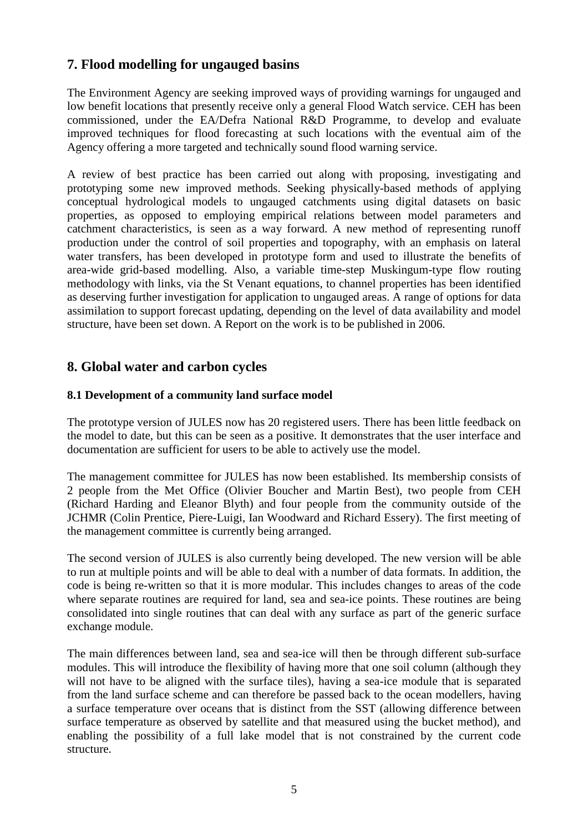## **7. Flood modelling for ungauged basins**

The Environment Agency are seeking improved ways of providing warnings for ungauged and low benefit locations that presently receive only a general Flood Watch service. CEH has been commissioned, under the EA/Defra National R&D Programme, to develop and evaluate improved techniques for flood forecasting at such locations with the eventual aim of the Agency offering a more targeted and technically sound flood warning service.

A review of best practice has been carried out along with proposing, investigating and prototyping some new improved methods. Seeking physically-based methods of applying conceptual hydrological models to ungauged catchments using digital datasets on basic properties, as opposed to employing empirical relations between model parameters and catchment characteristics, is seen as a way forward. A new method of representing runoff production under the control of soil properties and topography, with an emphasis on lateral water transfers, has been developed in prototype form and used to illustrate the benefits of area-wide grid-based modelling. Also, a variable time-step Muskingum-type flow routing methodology with links, via the St Venant equations, to channel properties has been identified as deserving further investigation for application to ungauged areas. A range of options for data assimilation to support forecast updating, depending on the level of data availability and model structure, have been set down. A Report on the work is to be published in 2006.

## **8. Global water and carbon cycles**

### **8.1 Development of a community land surface model**

The prototype version of JULES now has 20 registered users. There has been little feedback on the model to date, but this can be seen as a positive. It demonstrates that the user interface and documentation are sufficient for users to be able to actively use the model.

The management committee for JULES has now been established. Its membership consists of 2 people from the Met Office (Olivier Boucher and Martin Best), two people from CEH (Richard Harding and Eleanor Blyth) and four people from the community outside of the JCHMR (Colin Prentice, Piere-Luigi, Ian Woodward and Richard Essery). The first meeting of the management committee is currently being arranged.

The second version of JULES is also currently being developed. The new version will be able to run at multiple points and will be able to deal with a number of data formats. In addition, the code is being re-written so that it is more modular. This includes changes to areas of the code where separate routines are required for land, sea and sea-ice points. These routines are being consolidated into single routines that can deal with any surface as part of the generic surface exchange module.

The main differences between land, sea and sea-ice will then be through different sub-surface modules. This will introduce the flexibility of having more that one soil column (although they will not have to be aligned with the surface tiles), having a sea-ice module that is separated from the land surface scheme and can therefore be passed back to the ocean modellers, having a surface temperature over oceans that is distinct from the SST (allowing difference between surface temperature as observed by satellite and that measured using the bucket method), and enabling the possibility of a full lake model that is not constrained by the current code structure.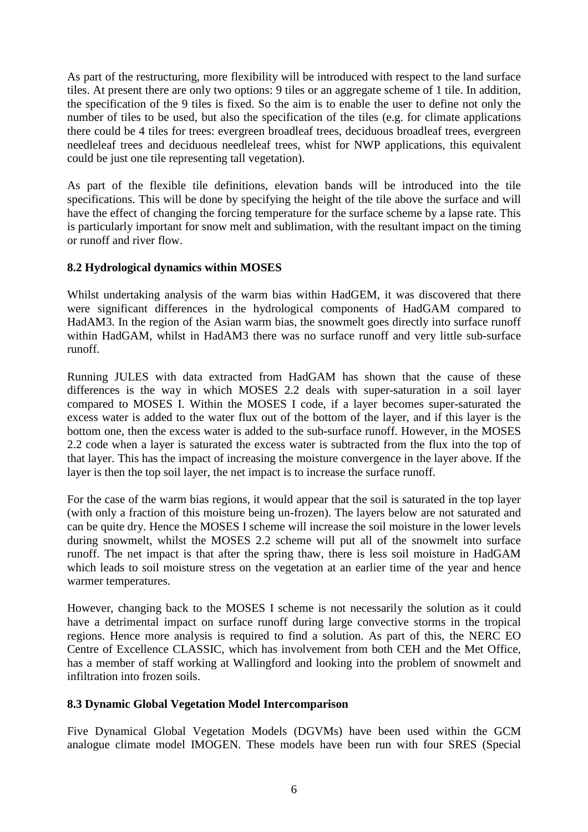As part of the restructuring, more flexibility will be introduced with respect to the land surface tiles. At present there are only two options: 9 tiles or an aggregate scheme of 1 tile. In addition, the specification of the 9 tiles is fixed. So the aim is to enable the user to define not only the number of tiles to be used, but also the specification of the tiles (e.g. for climate applications there could be 4 tiles for trees: evergreen broadleaf trees, deciduous broadleaf trees, evergreen needleleaf trees and deciduous needleleaf trees, whist for NWP applications, this equivalent could be just one tile representing tall vegetation).

As part of the flexible tile definitions, elevation bands will be introduced into the tile specifications. This will be done by specifying the height of the tile above the surface and will have the effect of changing the forcing temperature for the surface scheme by a lapse rate. This is particularly important for snow melt and sublimation, with the resultant impact on the timing or runoff and river flow.

### **8.2 Hydrological dynamics within MOSES**

Whilst undertaking analysis of the warm bias within HadGEM, it was discovered that there were significant differences in the hydrological components of HadGAM compared to HadAM3. In the region of the Asian warm bias, the snowmelt goes directly into surface runoff within HadGAM, whilst in HadAM3 there was no surface runoff and very little sub-surface runoff.

Running JULES with data extracted from HadGAM has shown that the cause of these differences is the way in which MOSES 2.2 deals with super-saturation in a soil layer compared to MOSES I. Within the MOSES I code, if a layer becomes super-saturated the excess water is added to the water flux out of the bottom of the layer, and if this layer is the bottom one, then the excess water is added to the sub-surface runoff. However, in the MOSES 2.2 code when a layer is saturated the excess water is subtracted from the flux into the top of that layer. This has the impact of increasing the moisture convergence in the layer above. If the layer is then the top soil layer, the net impact is to increase the surface runoff.

For the case of the warm bias regions, it would appear that the soil is saturated in the top layer (with only a fraction of this moisture being un-frozen). The layers below are not saturated and can be quite dry. Hence the MOSES I scheme will increase the soil moisture in the lower levels during snowmelt, whilst the MOSES 2.2 scheme will put all of the snowmelt into surface runoff. The net impact is that after the spring thaw, there is less soil moisture in HadGAM which leads to soil moisture stress on the vegetation at an earlier time of the year and hence warmer temperatures.

However, changing back to the MOSES I scheme is not necessarily the solution as it could have a detrimental impact on surface runoff during large convective storms in the tropical regions. Hence more analysis is required to find a solution. As part of this, the NERC EO Centre of Excellence CLASSIC, which has involvement from both CEH and the Met Office, has a member of staff working at Wallingford and looking into the problem of snowmelt and infiltration into frozen soils.

#### **8.3 Dynamic Global Vegetation Model Intercomparison**

Five Dynamical Global Vegetation Models (DGVMs) have been used within the GCM analogue climate model IMOGEN. These models have been run with four SRES (Special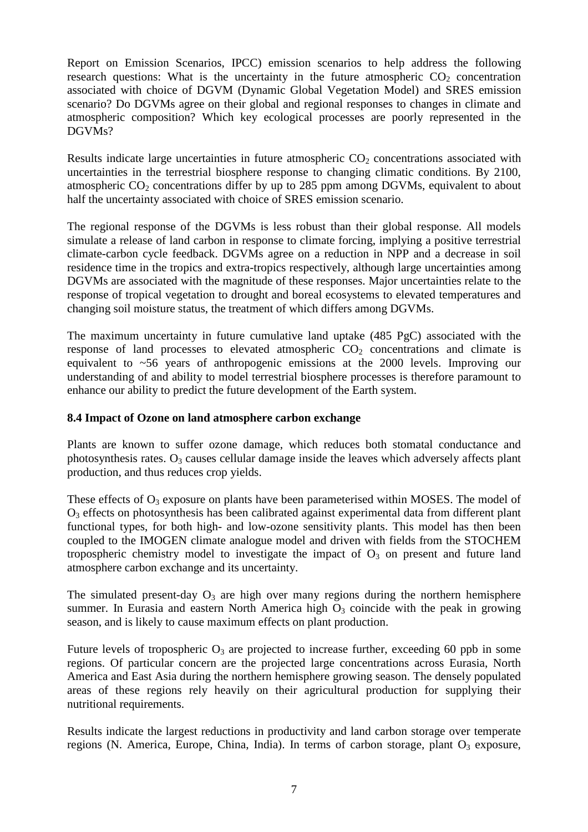Report on Emission Scenarios, IPCC) emission scenarios to help address the following research questions: What is the uncertainty in the future atmospheric  $CO<sub>2</sub>$  concentration associated with choice of DGVM (Dynamic Global Vegetation Model) and SRES emission scenario? Do DGVMs agree on their global and regional responses to changes in climate and atmospheric composition? Which key ecological processes are poorly represented in the DGVMs?

Results indicate large uncertainties in future atmospheric  $CO<sub>2</sub>$  concentrations associated with uncertainties in the terrestrial biosphere response to changing climatic conditions. By 2100, atmospheric  $CO<sub>2</sub>$  concentrations differ by up to 285 ppm among DGVMs, equivalent to about half the uncertainty associated with choice of SRES emission scenario.

The regional response of the DGVMs is less robust than their global response. All models simulate a release of land carbon in response to climate forcing, implying a positive terrestrial climate-carbon cycle feedback. DGVMs agree on a reduction in NPP and a decrease in soil residence time in the tropics and extra-tropics respectively, although large uncertainties among DGVMs are associated with the magnitude of these responses. Major uncertainties relate to the response of tropical vegetation to drought and boreal ecosystems to elevated temperatures and changing soil moisture status, the treatment of which differs among DGVMs.

The maximum uncertainty in future cumulative land uptake (485 PgC) associated with the response of land processes to elevated atmospheric  $CO<sub>2</sub>$  concentrations and climate is equivalent to ~56 years of anthropogenic emissions at the 2000 levels. Improving our understanding of and ability to model terrestrial biosphere processes is therefore paramount to enhance our ability to predict the future development of the Earth system.

#### **8.4 Impact of Ozone on land atmosphere carbon exchange**

Plants are known to suffer ozone damage, which reduces both stomatal conductance and photosynthesis rates.  $O_3$  causes cellular damage inside the leaves which adversely affects plant production, and thus reduces crop yields.

These effects of  $O_3$  exposure on plants have been parameterised within MOSES. The model of  $O<sub>3</sub>$  effects on photosynthesis has been calibrated against experimental data from different plant functional types, for both high- and low-ozone sensitivity plants. This model has then been coupled to the IMOGEN climate analogue model and driven with fields from the STOCHEM tropospheric chemistry model to investigate the impact of  $O<sub>3</sub>$  on present and future land atmosphere carbon exchange and its uncertainty.

The simulated present-day  $O_3$  are high over many regions during the northern hemisphere summer. In Eurasia and eastern North America high  $O_3$  coincide with the peak in growing season, and is likely to cause maximum effects on plant production.

Future levels of tropospheric  $O_3$  are projected to increase further, exceeding 60 ppb in some regions. Of particular concern are the projected large concentrations across Eurasia, North America and East Asia during the northern hemisphere growing season. The densely populated areas of these regions rely heavily on their agricultural production for supplying their nutritional requirements.

Results indicate the largest reductions in productivity and land carbon storage over temperate regions (N. America, Europe, China, India). In terms of carbon storage, plant  $O_3$  exposure,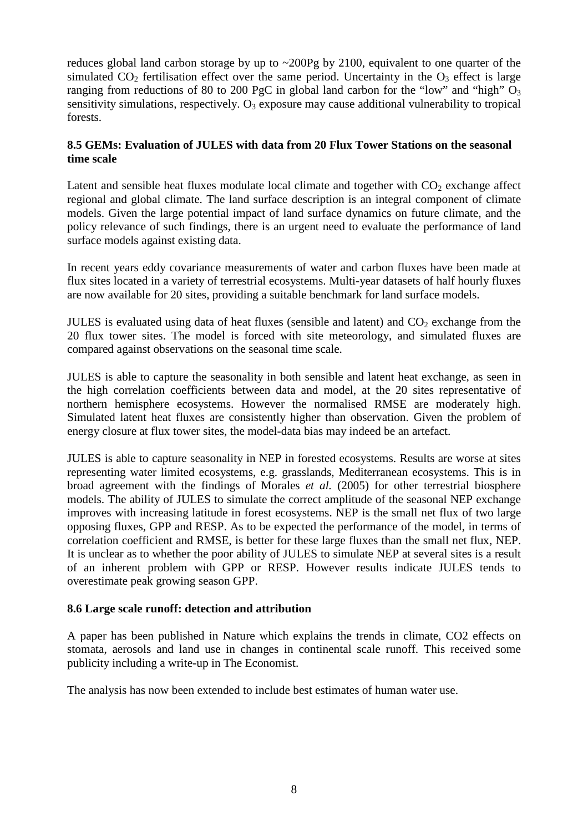reduces global land carbon storage by up to  $\sim 200$ Pg by 2100, equivalent to one quarter of the simulated  $CO<sub>2</sub>$  fertilisation effect over the same period. Uncertainty in the  $O<sub>3</sub>$  effect is large ranging from reductions of 80 to 200 PgC in global land carbon for the "low" and "high" O<sub>3</sub> sensitivity simulations, respectively.  $O_3$  exposure may cause additional vulnerability to tropical forests.

#### **8.5 GEMs: Evaluation of JULES with data from 20 Flux Tower Stations on the seasonal time scale**

Latent and sensible heat fluxes modulate local climate and together with  $CO<sub>2</sub>$  exchange affect regional and global climate. The land surface description is an integral component of climate models. Given the large potential impact of land surface dynamics on future climate, and the policy relevance of such findings, there is an urgent need to evaluate the performance of land surface models against existing data.

In recent years eddy covariance measurements of water and carbon fluxes have been made at flux sites located in a variety of terrestrial ecosystems. Multi-year datasets of half hourly fluxes are now available for 20 sites, providing a suitable benchmark for land surface models.

JULES is evaluated using data of heat fluxes (sensible and latent) and  $CO<sub>2</sub>$  exchange from the 20 flux tower sites. The model is forced with site meteorology, and simulated fluxes are compared against observations on the seasonal time scale.

JULES is able to capture the seasonality in both sensible and latent heat exchange, as seen in the high correlation coefficients between data and model, at the 20 sites representative of northern hemisphere ecosystems. However the normalised RMSE are moderately high. Simulated latent heat fluxes are consistently higher than observation. Given the problem of energy closure at flux tower sites, the model-data bias may indeed be an artefact.

JULES is able to capture seasonality in NEP in forested ecosystems. Results are worse at sites representing water limited ecosystems, e.g. grasslands, Mediterranean ecosystems. This is in broad agreement with the findings of Morales *et al.* (2005) for other terrestrial biosphere models. The ability of JULES to simulate the correct amplitude of the seasonal NEP exchange improves with increasing latitude in forest ecosystems. NEP is the small net flux of two large opposing fluxes, GPP and RESP. As to be expected the performance of the model, in terms of correlation coefficient and RMSE, is better for these large fluxes than the small net flux, NEP. It is unclear as to whether the poor ability of JULES to simulate NEP at several sites is a result of an inherent problem with GPP or RESP. However results indicate JULES tends to overestimate peak growing season GPP.

### **8.6 Large scale runoff: detection and attribution**

A paper has been published in Nature which explains the trends in climate, CO2 effects on stomata, aerosols and land use in changes in continental scale runoff. This received some publicity including a write-up in The Economist.

The analysis has now been extended to include best estimates of human water use.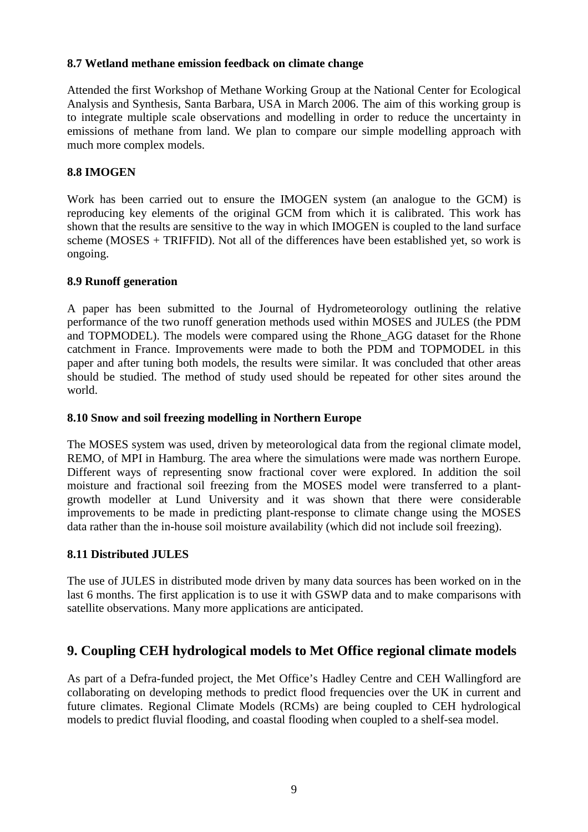#### **8.7 Wetland methane emission feedback on climate change**

Attended the first Workshop of Methane Working Group at the National Center for Ecological Analysis and Synthesis, Santa Barbara, USA in March 2006. The aim of this working group is to integrate multiple scale observations and modelling in order to reduce the uncertainty in emissions of methane from land. We plan to compare our simple modelling approach with much more complex models.

### **8.8 IMOGEN**

Work has been carried out to ensure the IMOGEN system (an analogue to the GCM) is reproducing key elements of the original GCM from which it is calibrated. This work has shown that the results are sensitive to the way in which IMOGEN is coupled to the land surface scheme (MOSES + TRIFFID). Not all of the differences have been established yet, so work is ongoing.

#### **8.9 Runoff generation**

A paper has been submitted to the Journal of Hydrometeorology outlining the relative performance of the two runoff generation methods used within MOSES and JULES (the PDM and TOPMODEL). The models were compared using the Rhone\_AGG dataset for the Rhone catchment in France. Improvements were made to both the PDM and TOPMODEL in this paper and after tuning both models, the results were similar. It was concluded that other areas should be studied. The method of study used should be repeated for other sites around the world.

#### **8.10 Snow and soil freezing modelling in Northern Europe**

The MOSES system was used, driven by meteorological data from the regional climate model, REMO, of MPI in Hamburg. The area where the simulations were made was northern Europe. Different ways of representing snow fractional cover were explored. In addition the soil moisture and fractional soil freezing from the MOSES model were transferred to a plantgrowth modeller at Lund University and it was shown that there were considerable improvements to be made in predicting plant-response to climate change using the MOSES data rather than the in-house soil moisture availability (which did not include soil freezing).

### **8.11 Distributed JULES**

The use of JULES in distributed mode driven by many data sources has been worked on in the last 6 months. The first application is to use it with GSWP data and to make comparisons with satellite observations. Many more applications are anticipated.

### **9. Coupling CEH hydrological models to Met Office regional climate models**

As part of a Defra-funded project, the Met Office's Hadley Centre and CEH Wallingford are collaborating on developing methods to predict flood frequencies over the UK in current and future climates. Regional Climate Models (RCMs) are being coupled to CEH hydrological models to predict fluvial flooding, and coastal flooding when coupled to a shelf-sea model.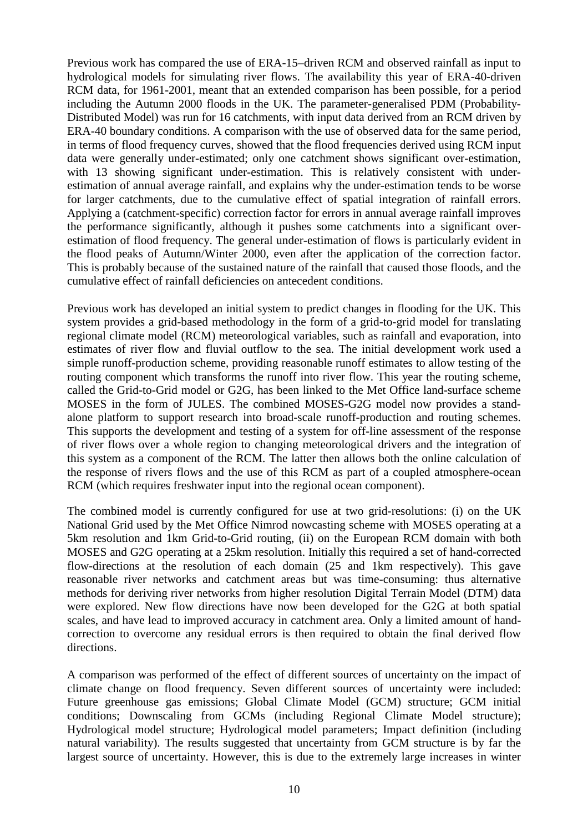Previous work has compared the use of ERA-15–driven RCM and observed rainfall as input to hydrological models for simulating river flows. The availability this year of ERA-40-driven RCM data, for 1961-2001, meant that an extended comparison has been possible, for a period including the Autumn 2000 floods in the UK. The parameter-generalised PDM (Probability-Distributed Model) was run for 16 catchments, with input data derived from an RCM driven by ERA-40 boundary conditions. A comparison with the use of observed data for the same period, in terms of flood frequency curves, showed that the flood frequencies derived using RCM input data were generally under-estimated; only one catchment shows significant over-estimation, with 13 showing significant under-estimation. This is relatively consistent with underestimation of annual average rainfall, and explains why the under-estimation tends to be worse for larger catchments, due to the cumulative effect of spatial integration of rainfall errors. Applying a (catchment-specific) correction factor for errors in annual average rainfall improves the performance significantly, although it pushes some catchments into a significant overestimation of flood frequency. The general under-estimation of flows is particularly evident in the flood peaks of Autumn/Winter 2000, even after the application of the correction factor. This is probably because of the sustained nature of the rainfall that caused those floods, and the cumulative effect of rainfall deficiencies on antecedent conditions.

Previous work has developed an initial system to predict changes in flooding for the UK. This system provides a grid-based methodology in the form of a grid-to-grid model for translating regional climate model (RCM) meteorological variables, such as rainfall and evaporation, into estimates of river flow and fluvial outflow to the sea. The initial development work used a simple runoff-production scheme, providing reasonable runoff estimates to allow testing of the routing component which transforms the runoff into river flow. This year the routing scheme, called the Grid-to-Grid model or G2G, has been linked to the Met Office land-surface scheme MOSES in the form of JULES. The combined MOSES-G2G model now provides a standalone platform to support research into broad-scale runoff-production and routing schemes. This supports the development and testing of a system for off-line assessment of the response of river flows over a whole region to changing meteorological drivers and the integration of this system as a component of the RCM. The latter then allows both the online calculation of the response of rivers flows and the use of this RCM as part of a coupled atmosphere-ocean RCM (which requires freshwater input into the regional ocean component).

The combined model is currently configured for use at two grid-resolutions: (i) on the UK National Grid used by the Met Office Nimrod nowcasting scheme with MOSES operating at a 5km resolution and 1km Grid-to-Grid routing, (ii) on the European RCM domain with both MOSES and G2G operating at a 25km resolution. Initially this required a set of hand-corrected flow-directions at the resolution of each domain (25 and 1km respectively). This gave reasonable river networks and catchment areas but was time-consuming: thus alternative methods for deriving river networks from higher resolution Digital Terrain Model (DTM) data were explored. New flow directions have now been developed for the G2G at both spatial scales, and have lead to improved accuracy in catchment area. Only a limited amount of handcorrection to overcome any residual errors is then required to obtain the final derived flow directions.

A comparison was performed of the effect of different sources of uncertainty on the impact of climate change on flood frequency. Seven different sources of uncertainty were included: Future greenhouse gas emissions; Global Climate Model (GCM) structure; GCM initial conditions; Downscaling from GCMs (including Regional Climate Model structure); Hydrological model structure; Hydrological model parameters; Impact definition (including natural variability). The results suggested that uncertainty from GCM structure is by far the largest source of uncertainty. However, this is due to the extremely large increases in winter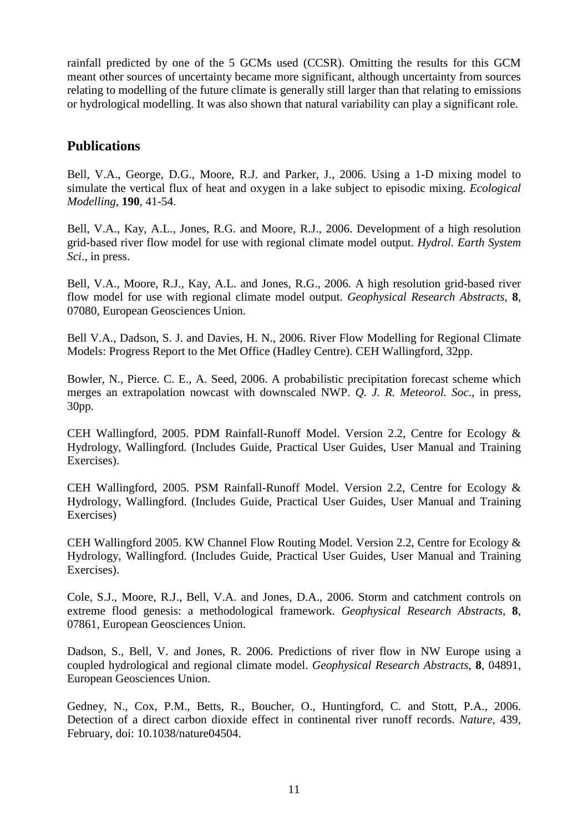rainfall predicted by one of the 5 GCMs used (CCSR). Omitting the results for this GCM meant other sources of uncertainty became more significant, although uncertainty from sources relating to modelling of the future climate is generally still larger than that relating to emissions or hydrological modelling. It was also shown that natural variability can play a significant role.

## **Publications**

Bell, V.A., George, D.G., Moore, R.J. and Parker, J., 2006. Using a 1-D mixing model to simulate the vertical flux of heat and oxygen in a lake subject to episodic mixing. *Ecological Modelling*, **190**, 41-54.

Bell, V.A., Kay, A.L., Jones, R.G. and Moore, R.J., 2006. Development of a high resolution grid-based river flow model for use with regional climate model output. *Hydrol. Earth System Sci*., in press.

Bell, V.A., Moore, R.J., Kay, A.L. and Jones, R.G., 2006. A high resolution grid-based river flow model for use with regional climate model output. *Geophysical Research Abstracts*, **8**, 07080, European Geosciences Union.

Bell V.A., Dadson, S. J. and Davies, H. N., 2006. River Flow Modelling for Regional Climate Models: Progress Report to the Met Office (Hadley Centre). CEH Wallingford, 32pp.

Bowler, N., Pierce. C. E., A. Seed, 2006. A probabilistic precipitation forecast scheme which merges an extrapolation nowcast with downscaled NWP. *Q. J. R. Meteorol. Soc*., in press, 30pp.

CEH Wallingford, 2005. PDM Rainfall-Runoff Model. Version 2.2, Centre for Ecology & Hydrology, Wallingford. (Includes Guide, Practical User Guides, User Manual and Training Exercises).

CEH Wallingford, 2005. PSM Rainfall-Runoff Model. Version 2.2, Centre for Ecology & Hydrology, Wallingford. (Includes Guide, Practical User Guides, User Manual and Training Exercises)

CEH Wallingford 2005. KW Channel Flow Routing Model. Version 2.2, Centre for Ecology & Hydrology, Wallingford. (Includes Guide, Practical User Guides, User Manual and Training Exercises).

Cole, S.J., Moore, R.J., Bell, V.A. and Jones, D.A., 2006. Storm and catchment controls on extreme flood genesis: a methodological framework. *Geophysical Research Abstracts*, **8**, 07861, European Geosciences Union.

Dadson, S., Bell, V. and Jones, R. 2006. Predictions of river flow in NW Europe using a coupled hydrological and regional climate model. *Geophysical Research Abstracts*, **8**, 04891, European Geosciences Union.

Gedney, N., Cox, P.M., Betts, R., Boucher, O., Huntingford, C. and Stott, P.A., 2006. Detection of a direct carbon dioxide effect in continental river runoff records. *Nature,* 439, February, doi: 10.1038/nature04504.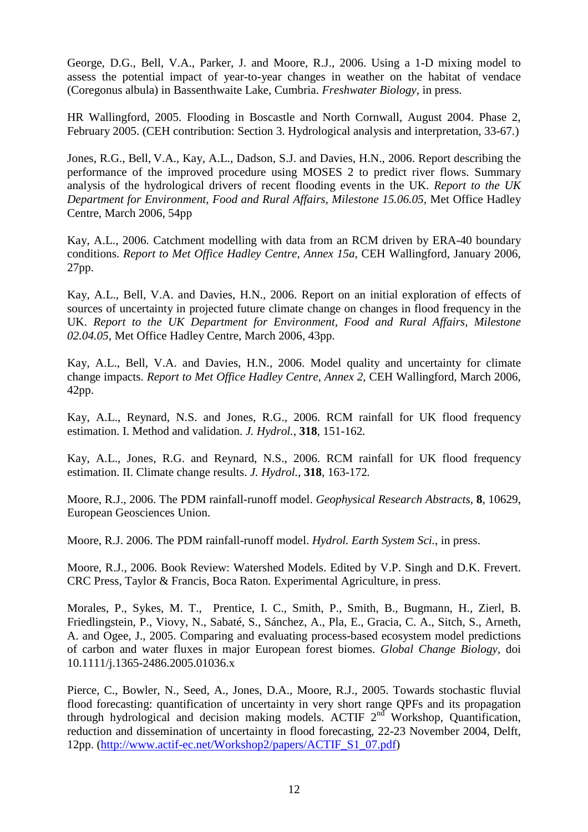George, D.G., Bell, V.A., Parker, J. and Moore, R.J., 2006. Using a 1-D mixing model to assess the potential impact of year-to-year changes in weather on the habitat of vendace (Coregonus albula) in Bassenthwaite Lake, Cumbria. *Freshwater Biology*, in press.

HR Wallingford, 2005. Flooding in Boscastle and North Cornwall, August 2004. Phase 2, February 2005. (CEH contribution: Section 3. Hydrological analysis and interpretation, 33-67.)

Jones, R.G., Bell, V.A., Kay, A.L., Dadson, S.J. and Davies, H.N., 2006. Report describing the performance of the improved procedure using MOSES 2 to predict river flows. Summary analysis of the hydrological drivers of recent flooding events in the UK. *Report to the UK Department for Environment, Food and Rural Affairs, Milestone 15.06.05,* Met Office Hadley Centre, March 2006, 54pp

Kay, A.L., 2006. Catchment modelling with data from an RCM driven by ERA-40 boundary conditions. *Report to Met Office Hadley Centre, Annex 15a,* CEH Wallingford, January 2006, 27pp.

Kay, A.L., Bell, V.A. and Davies, H.N., 2006. Report on an initial exploration of effects of sources of uncertainty in projected future climate change on changes in flood frequency in the UK. *Report to the UK Department for Environment, Food and Rural Affairs, Milestone 02.04.05,* Met Office Hadley Centre, March 2006, 43pp.

Kay, A.L., Bell, V.A. and Davies, H.N., 2006. Model quality and uncertainty for climate change impacts. *Report to Met Office Hadley Centre, Annex 2,* CEH Wallingford, March 2006, 42pp.

Kay, A.L., Reynard, N.S. and Jones, R.G., 2006. RCM rainfall for UK flood frequency estimation. I. Method and validation. *J. Hydrol.*, **318**, 151-162*.* 

Kay, A.L., Jones, R.G. and Reynard, N.S., 2006. RCM rainfall for UK flood frequency estimation. II. Climate change results. *J. Hydrol.*, **318**, 163-172*.*

Moore, R.J., 2006. The PDM rainfall-runoff model. *Geophysical Research Abstracts*, **8**, 10629, European Geosciences Union.

Moore, R.J. 2006. The PDM rainfall-runoff model. *Hydrol. Earth System Sci.*, in press.

Moore, R.J., 2006. Book Review: Watershed Models. Edited by V.P. Singh and D.K. Frevert. CRC Press, Taylor & Francis, Boca Raton. Experimental Agriculture, in press.

Morales, P., Sykes, M. T., Prentice, I. C., Smith, P., Smith, B., Bugmann, H., Zierl, B. Friedlingstein, P., Viovy, N., Sabaté, S., Sánchez, A., Pla, E., Gracia, C. A., Sitch, S., Arneth, A. and Ogee, J., 2005. Comparing and evaluating process-based ecosystem model predictions of carbon and water fluxes in major European forest biomes. *Global Change Biology*, doi 10.1111/j.1365-2486.2005.01036.x

Pierce, C., Bowler, N., Seed, A., Jones, D.A., Moore, R.J., 2005. Towards stochastic fluvial flood forecasting: quantification of uncertainty in very short range QPFs and its propagation through hydrological and decision making models. ACTIF  $2<sup>nd</sup>$  Workshop, Quantification, reduction and dissemination of uncertainty in flood forecasting, 22-23 November 2004, Delft, 12pp. (http://www.actif-ec.net/Workshop2/papers/ACTIF\_S1\_07.pdf)